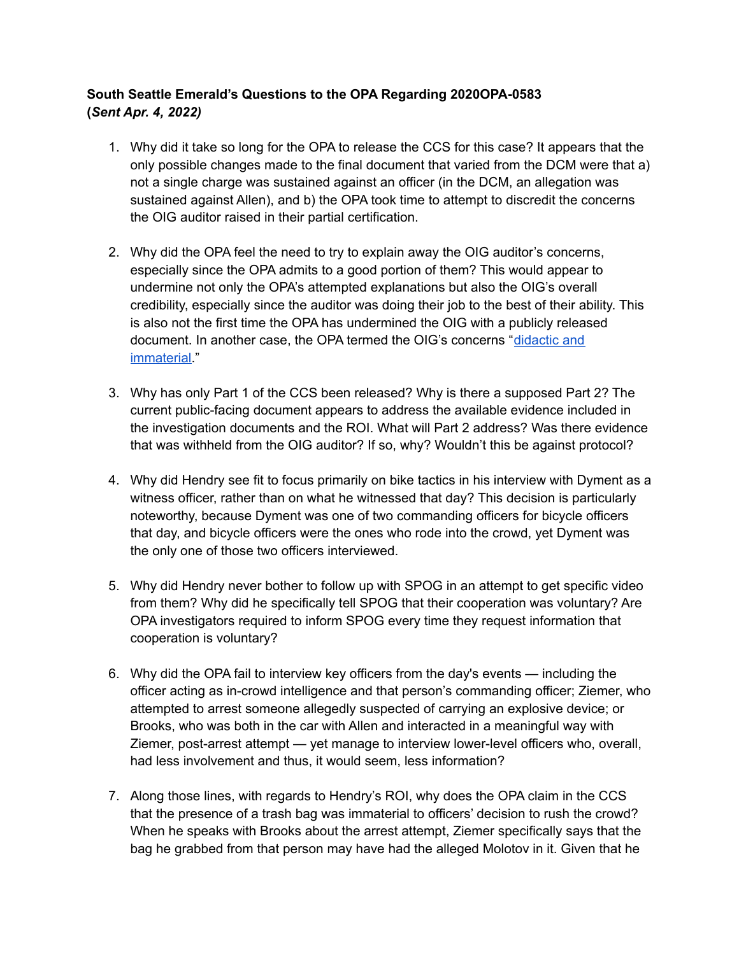## **South Seattle Emerald's Questions to the OPA Regarding 2020OPA-0583 (***Sent Apr. 4, 2022)*

- 1. Why did it take so long for the OPA to release the CCS for this case? It appears that the only possible changes made to the final document that varied from the DCM were that a) not a single charge was sustained against an officer (in the DCM, an allegation was sustained against Allen), and b) the OPA took time to attempt to discredit the concerns the OIG auditor raised in their partial certification.
- 2. Why did the OPA feel the need to try to explain away the OIG auditor's concerns, especially since the OPA admits to a good portion of them? This would appear to undermine not only the OPA's attempted explanations but also the OIG's overall credibility, especially since the auditor was doing their job to the best of their ability. This is also not the first time the OPA has undermined the OIG with a publicly released document. In another case, the OPA termed the OIG's concerns "[didactic](https://www.seattle.gov/Documents/Departments/OPA/ClosedCaseSummaries/2020OPA-0515ccs040421.pdf) and [immaterial.](https://www.seattle.gov/Documents/Departments/OPA/ClosedCaseSummaries/2020OPA-0515ccs040421.pdf)"
- 3. Why has only Part 1 of the CCS been released? Why is there a supposed Part 2? The current public-facing document appears to address the available evidence included in the investigation documents and the ROI. What will Part 2 address? Was there evidence that was withheld from the OIG auditor? If so, why? Wouldn't this be against protocol?
- 4. Why did Hendry see fit to focus primarily on bike tactics in his interview with Dyment as a witness officer, rather than on what he witnessed that day? This decision is particularly noteworthy, because Dyment was one of two commanding officers for bicycle officers that day, and bicycle officers were the ones who rode into the crowd, yet Dyment was the only one of those two officers interviewed.
- 5. Why did Hendry never bother to follow up with SPOG in an attempt to get specific video from them? Why did he specifically tell SPOG that their cooperation was voluntary? Are OPA investigators required to inform SPOG every time they request information that cooperation is voluntary?
- 6. Why did the OPA fail to interview key officers from the day's events including the officer acting as in-crowd intelligence and that person's commanding officer; Ziemer, who attempted to arrest someone allegedly suspected of carrying an explosive device; or Brooks, who was both in the car with Allen and interacted in a meaningful way with Ziemer, post-arrest attempt — yet manage to interview lower-level officers who, overall, had less involvement and thus, it would seem, less information?
- 7. Along those lines, with regards to Hendry's ROI, why does the OPA claim in the CCS that the presence of a trash bag was immaterial to officers' decision to rush the crowd? When he speaks with Brooks about the arrest attempt, Ziemer specifically says that the bag he grabbed from that person may have had the alleged Molotov in it. Given that he